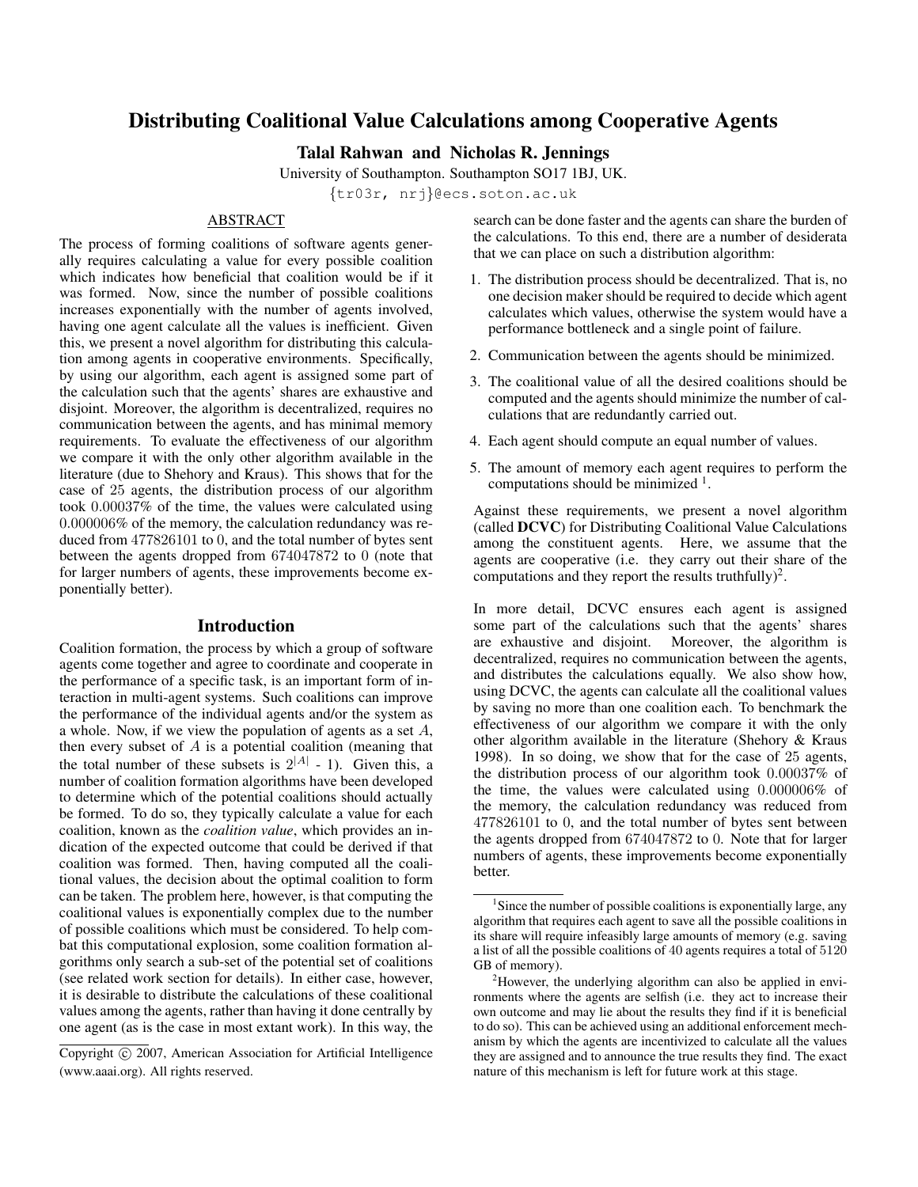# Distributing Coalitional Value Calculations among Cooperative Agents

Talal Rahwan and Nicholas R. Jennings

University of Southampton. Southampton SO17 1BJ, UK.

{tr03r, nrj}@ecs.soton.ac.uk

## ABSTRACT

The process of forming coalitions of software agents generally requires calculating a value for every possible coalition which indicates how beneficial that coalition would be if it was formed. Now, since the number of possible coalitions increases exponentially with the number of agents involved, having one agent calculate all the values is inefficient. Given this, we present a novel algorithm for distributing this calculation among agents in cooperative environments. Specifically, by using our algorithm, each agent is assigned some part of the calculation such that the agents' shares are exhaustive and disjoint. Moreover, the algorithm is decentralized, requires no communication between the agents, and has minimal memory requirements. To evaluate the effectiveness of our algorithm we compare it with the only other algorithm available in the literature (due to Shehory and Kraus). This shows that for the case of 25 agents, the distribution process of our algorithm took 0.00037% of the time, the values were calculated using 0.000006% of the memory, the calculation redundancy was reduced from 477826101 to 0, and the total number of bytes sent between the agents dropped from 674047872 to 0 (note that for larger numbers of agents, these improvements become exponentially better).

## Introduction

Coalition formation, the process by which a group of software agents come together and agree to coordinate and cooperate in the performance of a specific task, is an important form of interaction in multi-agent systems. Such coalitions can improve the performance of the individual agents and/or the system as a whole. Now, if we view the population of agents as a set A, then every subset of  $A$  is a potential coalition (meaning that the total number of these subsets is  $2^{|A|}$  - 1). Given this, a number of coalition formation algorithms have been developed to determine which of the potential coalitions should actually be formed. To do so, they typically calculate a value for each coalition, known as the *coalition value*, which provides an indication of the expected outcome that could be derived if that coalition was formed. Then, having computed all the coalitional values, the decision about the optimal coalition to form can be taken. The problem here, however, is that computing the coalitional values is exponentially complex due to the number of possible coalitions which must be considered. To help combat this computational explosion, some coalition formation algorithms only search a sub-set of the potential set of coalitions (see related work section for details). In either case, however, it is desirable to distribute the calculations of these coalitional values among the agents, rather than having it done centrally by one agent (as is the case in most extant work). In this way, the

search can be done faster and the agents can share the burden of the calculations. To this end, there are a number of desiderata that we can place on such a distribution algorithm:

- 1. The distribution process should be decentralized. That is, no one decision maker should be required to decide which agent calculates which values, otherwise the system would have a performance bottleneck and a single point of failure.
- 2. Communication between the agents should be minimized.
- 3. The coalitional value of all the desired coalitions should be computed and the agents should minimize the number of calculations that are redundantly carried out.
- 4. Each agent should compute an equal number of values.
- 5. The amount of memory each agent requires to perform the computations should be minimized  $<sup>1</sup>$ .</sup>

Against these requirements, we present a novel algorithm (called DCVC) for Distributing Coalitional Value Calculations among the constituent agents. Here, we assume that the agents are cooperative (i.e. they carry out their share of the computations and they report the results truthfully)<sup>2</sup>.

In more detail, DCVC ensures each agent is assigned some part of the calculations such that the agents' shares are exhaustive and disjoint. Moreover, the algorithm is decentralized, requires no communication between the agents, and distributes the calculations equally. We also show how, using DCVC, the agents can calculate all the coalitional values by saving no more than one coalition each. To benchmark the effectiveness of our algorithm we compare it with the only other algorithm available in the literature (Shehory & Kraus 1998). In so doing, we show that for the case of 25 agents, the distribution process of our algorithm took 0.00037% of the time, the values were calculated using 0.000006% of the memory, the calculation redundancy was reduced from 477826101 to 0, and the total number of bytes sent between the agents dropped from 674047872 to 0. Note that for larger numbers of agents, these improvements become exponentially better.

Copyright © 2007, American Association for Artificial Intelligence (www.aaai.org). All rights reserved.

 $1$ Since the number of possible coalitions is exponentially large, any algorithm that requires each agent to save all the possible coalitions in its share will require infeasibly large amounts of memory (e.g. saving a list of all the possible coalitions of 40 agents requires a total of 5120 GB of memory).

 $2$ However, the underlying algorithm can also be applied in environments where the agents are selfish (i.e. they act to increase their own outcome and may lie about the results they find if it is beneficial to do so). This can be achieved using an additional enforcement mechanism by which the agents are incentivized to calculate all the values they are assigned and to announce the true results they find. The exact nature of this mechanism is left for future work at this stage.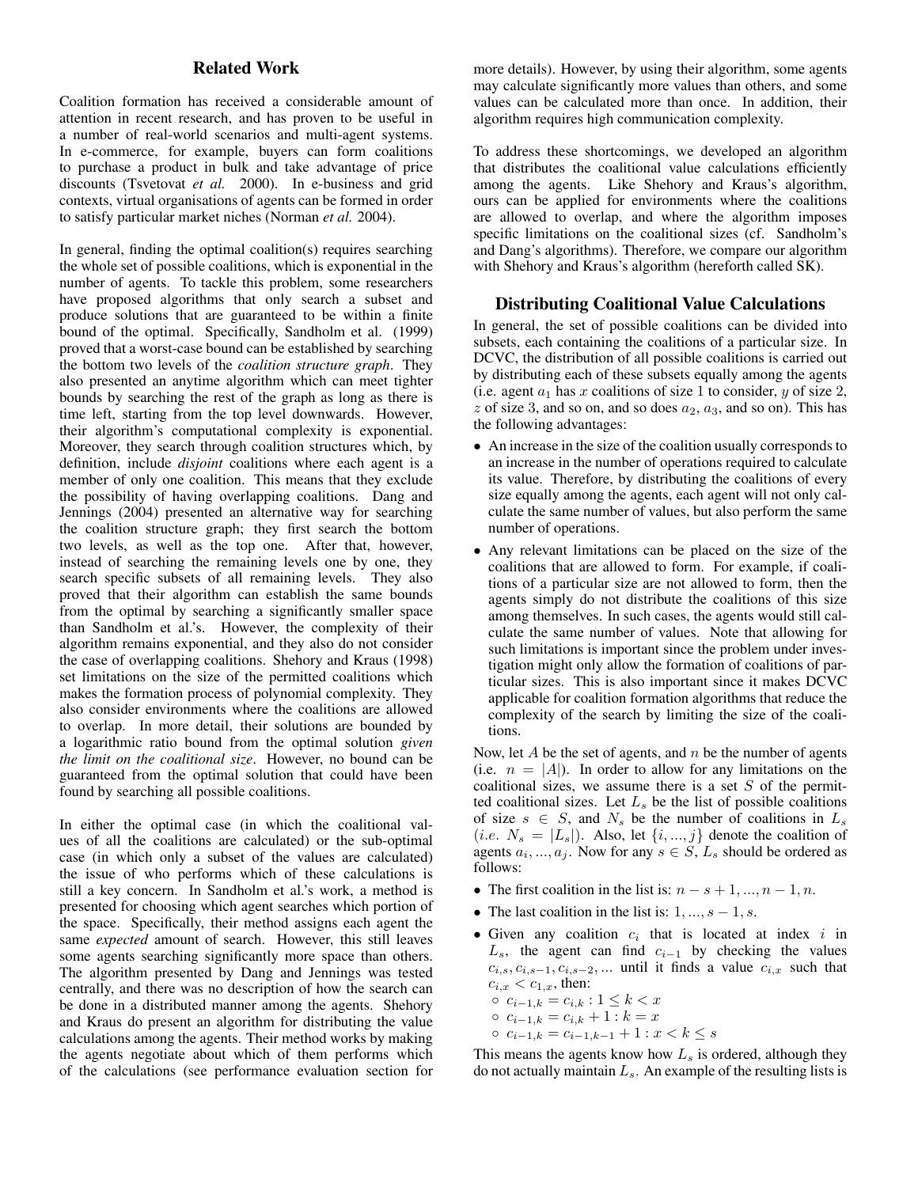## Related Work

Coalition formation has received a considerable amount of attention in recent research, and has proven to be useful in a number of real-world scenarios and multi-agent systems. In e-commerce, for example, buyers can form coalitions to purchase a product in bulk and take advantage of price discounts (Tsvetovat *et al.* 2000). In e-business and grid contexts, virtual organisations of agents can be formed in order to satisfy particular market niches (Norman *et al.* 2004).

In general, finding the optimal coalition(s) requires searching the whole set of possible coalitions, which is exponential in the number of agents. To tackle this problem, some researchers have proposed algorithms that only search a subset and produce solutions that are guaranteed to be within a finite bound of the optimal. Specifically, Sandholm et al. (1999) proved that a worst-case bound can be established by searching the bottom two levels of the *coalition structure graph*. They also presented an anytime algorithm which can meet tighter bounds by searching the rest of the graph as long as there is time left, starting from the top level downwards. However, their algorithm's computational complexity is exponential. Moreover, they search through coalition structures which, by definition, include *disjoint* coalitions where each agent is a member of only one coalition. This means that they exclude the possibility of having overlapping coalitions. Dang and Jennings (2004) presented an alternative way for searching the coalition structure graph; they first search the bottom two levels, as well as the top one. After that, however, instead of searching the remaining levels one by one, they search specific subsets of all remaining levels. They also proved that their algorithm can establish the same bounds from the optimal by searching a significantly smaller space than Sandholm et al.'s. However, the complexity of their algorithm remains exponential, and they also do not consider the case of overlapping coalitions. Shehory and Kraus (1998) set limitations on the size of the permitted coalitions which makes the formation process of polynomial complexity. They also consider environments where the coalitions are allowed to overlap. In more detail, their solutions are bounded by a logarithmic ratio bound from the optimal solution *given the limit on the coalitional size*. However, no bound can be guaranteed from the optimal solution that could have been found by searching all possible coalitions.

In either the optimal case (in which the coalitional values of all the coalitions are calculated) or the sub-optimal case (in which only a subset of the values are calculated) the issue of who performs which of these calculations is still a key concern. In Sandholm et al.'s work, a method is presented for choosing which agent searches which portion of the space. Specifically, their method assigns each agent the same *expected* amount of search. However, this still leaves some agents searching significantly more space than others. The algorithm presented by Dang and Jennings was tested centrally, and there was no description of how the search can be done in a distributed manner among the agents. Shehory and Kraus do present an algorithm for distributing the value calculations among the agents. Their method works by making the agents negotiate about which of them performs which of the calculations (see performance evaluation section for

more details). However, by using their algorithm, some agents may calculate significantly more values than others, and some values can be calculated more than once. In addition, their algorithm requires high communication complexity.

To address these shortcomings, we developed an algorithm that distributes the coalitional value calculations efficiently among the agents. Like Shehory and Kraus's algorithm, ours can be applied for environments where the coalitions are allowed to overlap, and where the algorithm imposes specific limitations on the coalitional sizes (cf. Sandholm's and Dang's algorithms). Therefore, we compare our algorithm with Shehory and Kraus's algorithm (hereforth called SK).

### Distributing Coalitional Value Calculations

In general, the set of possible coalitions can be divided into subsets, each containing the coalitions of a particular size. In DCVC, the distribution of all possible coalitions is carried out by distributing each of these subsets equally among the agents (i.e. agent  $a_1$  has x coalitions of size 1 to consider, y of size 2, z of size 3, and so on, and so does  $a_2$ ,  $a_3$ , and so on). This has the following advantages:

- An increase in the size of the coalition usually corresponds to an increase in the number of operations required to calculate its value. Therefore, by distributing the coalitions of every size equally among the agents, each agent will not only calculate the same number of values, but also perform the same number of operations.
- Any relevant limitations can be placed on the size of the coalitions that are allowed to form. For example, if coalitions of a particular size are not allowed to form, then the agents simply do not distribute the coalitions of this size among themselves. In such cases, the agents would still calculate the same number of values. Note that allowing for such limitations is important since the problem under investigation might only allow the formation of coalitions of particular sizes. This is also important since it makes DCVC applicable for coalition formation algorithms that reduce the complexity of the search by limiting the size of the coalitions.

Now, let  $A$  be the set of agents, and  $n$  be the number of agents (i.e.  $n = |A|$ ). In order to allow for any limitations on the coalitional sizes, we assume there is a set  $S$  of the permitted coalitional sizes. Let  $L<sub>s</sub>$  be the list of possible coalitions of size  $s \in S$ , and  $N_s$  be the number of coalitions in  $L_s$ (*i.e.*  $N_s = |L_s|$ ). Also, let  $\{i, ..., j\}$  denote the coalition of agents  $a_i, ..., a_j$ . Now for any  $s \in S$ ,  $L_s$  should be ordered as follows:

- The first coalition in the list is:  $n s + 1, ..., n 1, n$ .
- The last coalition in the list is:  $1, ..., s 1, s$ .
- Given any coalition  $c_i$  that is located at index i in  $L_s$ , the agent can find  $c_{i-1}$  by checking the values  $c_{i,s}, c_{i,s-1}, c_{i,s-2}, \dots$  until it finds a value  $c_{i,x}$  such that  $c_{i,x} < c_{1,x}$ , then:
	- $c_{i-1,k} = c_{i,k} : 1 \leq k < x$
	- $c_{i-1,k} = c_{i,k} + 1 : k = x$
	- ci−1,k = ci−1,k−<sup>1</sup> + 1 : x < k ≤ s

This means the agents know how  $L_s$  is ordered, although they do not actually maintain  $L<sub>s</sub>$ . An example of the resulting lists is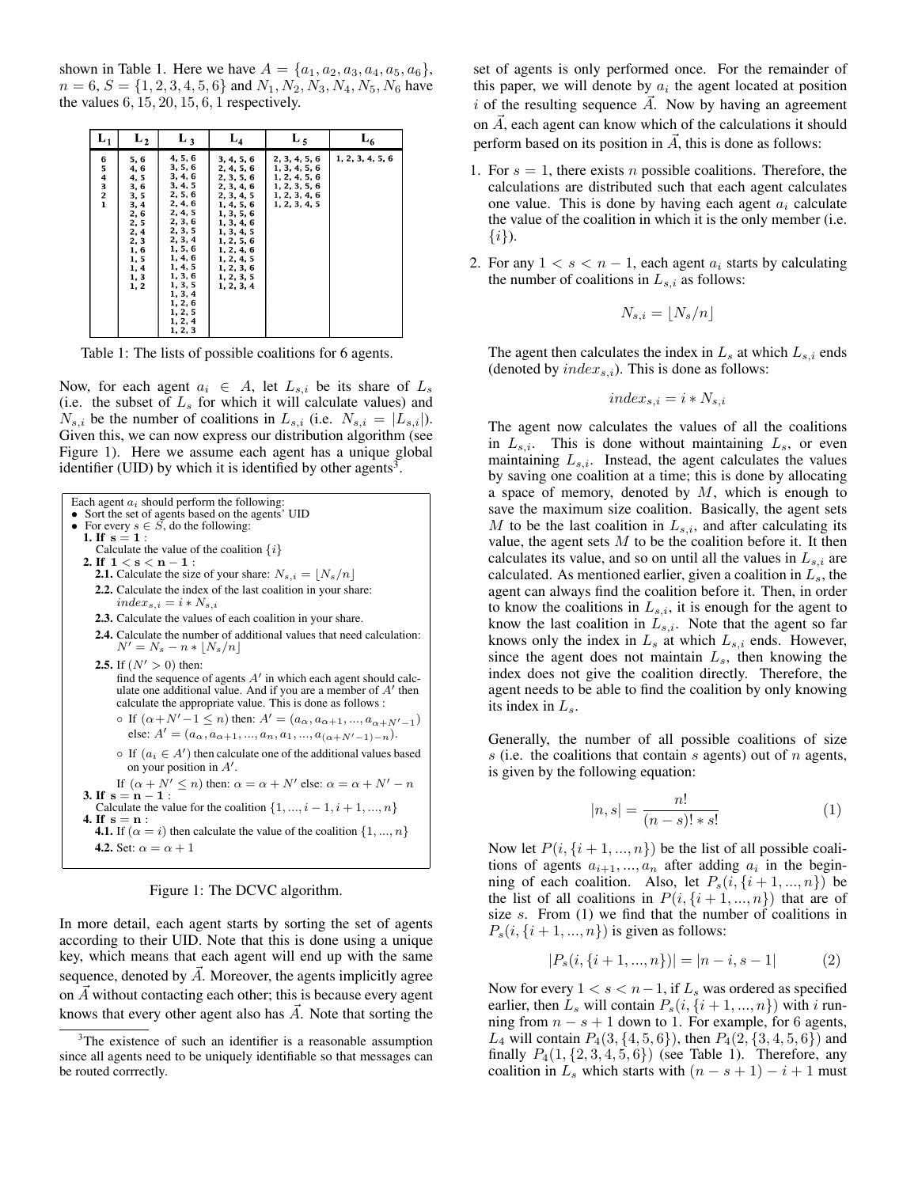shown in Table 1. Here we have  $A = \{a_1, a_2, a_3, a_4, a_5, a_6\},\$  $n = 6, S = \{1, 2, 3, 4, 5, 6\}$  and  $N_1, N_2, N_3, N_4, N_5, N_6$  have the values  $6, 15, 20, 15, 6, 1$  respectively.

| $L_1$                                                               | $L_2$                                                                                                          | $L_3$                                                                                                                                                                                                                    | ${\bf L_4}$                                                                                                                                                                                                    | $L_5$                                                                                              | L <sub>6</sub>   |
|---------------------------------------------------------------------|----------------------------------------------------------------------------------------------------------------|--------------------------------------------------------------------------------------------------------------------------------------------------------------------------------------------------------------------------|----------------------------------------------------------------------------------------------------------------------------------------------------------------------------------------------------------------|----------------------------------------------------------------------------------------------------|------------------|
| 6<br>5<br>$\begin{array}{c} 4 \\ 3 \\ 2 \end{array}$<br>$\mathbf 1$ | 5,6<br>4, 6<br>4,5<br>3,6<br>3, 5<br>3, 4<br>2,6<br>2, 5<br>2, 4<br>2, 3<br>1,6<br>1,5<br>1, 4<br>1, 3<br>1, 2 | 4, 5, 6<br>3, 5, 6<br>3, 4, 6<br>3, 4, 5<br>2, 5, 6<br>2, 4, 6<br>2, 4, 5<br>2, 3, 6<br>2, 3, 5<br>2, 3, 4<br>1, 5, 6<br>1, 4, 6<br>1, 4, 5<br>1, 3, 6<br>1, 3, 5<br>1, 3, 4<br>1, 2, 6<br>1, 2, 5<br>1, 2, 4<br>1, 2, 3 | 3, 4, 5, 6<br>2, 4, 5, 6<br>2, 3, 5, 6<br>2, 3, 4, 6<br>2, 3, 4, 5<br>1, 4, 5, 6<br>1, 3, 5, 6<br>1, 3, 4, 6<br>1, 3, 4, 5<br>1, 2, 5, 6<br>1, 2, 4, 6<br>1, 2, 4, 5<br>1, 2, 3, 6<br>1, 2, 3, 5<br>1, 2, 3, 4 | 2, 3, 4, 5, 6<br>1, 3, 4, 5, 6<br>1, 2, 4, 5, 6<br>1, 2, 3, 5, 6<br>1, 2, 3, 4, 6<br>1, 2, 3, 4, 5 | 1, 2, 3, 4, 5, 6 |

Table 1: The lists of possible coalitions for 6 agents.

Now, for each agent  $a_i \in A$ , let  $L_{s,i}$  be its share of  $L_s$ (i.e. the subset of  $L<sub>s</sub>$  for which it will calculate values) and  $N_{s,i}$  be the number of coalitions in  $L_{s,i}$  (i.e.  $N_{s,i} = |L_{s,i}|$ ). Given this, we can now express our distribution algorithm (see Figure 1). Here we assume each agent has a unique global identifier (UID) by which it is identified by other agents<sup>3</sup>.



Figure 1: The DCVC algorithm.

In more detail, each agent starts by sorting the set of agents according to their UID. Note that this is done using a unique key, which means that each agent will end up with the same sequence, denoted by  $\overline{A}$ . Moreover, the agents implicitly agree on  $\overline{A}$  without contacting each other; this is because every agent knows that every other agent also has  $\overrightarrow{A}$ . Note that sorting the set of agents is only performed once. For the remainder of this paper, we will denote by  $a_i$  the agent located at position  $i$  of the resulting sequence  $\overline{A}$ . Now by having an agreement on  $\vec{A}$ , each agent can know which of the calculations it should perform based on its position in  $\vec{A}$ , this is done as follows:

- 1. For  $s = 1$ , there exists *n* possible coalitions. Therefore, the calculations are distributed such that each agent calculates one value. This is done by having each agent  $a_i$  calculate the value of the coalition in which it is the only member (i.e.  $\{i\}$ ).
- 2. For any  $1 < s < n 1$ , each agent  $a_i$  starts by calculating the number of coalitions in  $L_{s,i}$  as follows:

$$
N_{s,i} = \lfloor N_s/n \rfloor
$$

The agent then calculates the index in  $L_s$  at which  $L_{s,i}$  ends (denoted by  $index_{s,i}$ ). This is done as follows:

$$
index_{s,i} = i * N_{s,i}
$$

The agent now calculates the values of all the coalitions in  $L_{s,i}$ . This is done without maintaining  $L_s$ , or even maintaining  $L_{s,i}$ . Instead, the agent calculates the values by saving one coalition at a time; this is done by allocating a space of memory, denoted by  $M$ , which is enough to save the maximum size coalition. Basically, the agent sets M to be the last coalition in  $L_{s,i}$ , and after calculating its value, the agent sets  $M$  to be the coalition before it. It then calculates its value, and so on until all the values in  $L_{s,i}$  are calculated. As mentioned earlier, given a coalition in  $L_s$ , the agent can always find the coalition before it. Then, in order to know the coalitions in  $L_{s,i}$ , it is enough for the agent to know the last coalition in  $L_{s,i}$ . Note that the agent so far knows only the index in  $L_s$  at which  $L_{s,i}$  ends. However, since the agent does not maintain  $L_s$ , then knowing the index does not give the coalition directly. Therefore, the agent needs to be able to find the coalition by only knowing its index in  $L_s$ .

Generally, the number of all possible coalitions of size s (i.e. the coalitions that contain s agents) out of  $n$  agents, is given by the following equation:

$$
|n,s| = \frac{n!}{(n-s)! * s!}
$$
 (1)

Now let  $P(i, {i+1,...,n})$  be the list of all possible coalitions of agents  $a_{i+1},...,a_n$  after adding  $a_i$  in the beginning of each coalition. Also, let  $P_s(i, \{i+1, ..., n\})$  be the list of all coalitions in  $P(i, {i+1,...,n})$  that are of size  $s$ . From  $(1)$  we find that the number of coalitions in  $P_s(i, \{i+1, ..., n\})$  is given as follows:

$$
|P_s(i, \{i+1, ..., n\})| = |n-i, s-1| \tag{2}
$$

Now for every  $1 < s < n-1$ , if  $L_s$  was ordered as specified earlier, then  $L_s$  will contain  $P_s(i, \{i+1, ..., n\})$  with i running from  $n - s + 1$  down to 1. For example, for 6 agents,  $L_4$  will contain  $P_4(3, {4, 5, 6})$ , then  $P_4(2, {3, 4, 5, 6})$  and finally  $P_4(1, {2, 3, 4, 5, 6})$  (see Table 1). Therefore, any coalition in  $L_s$  which starts with  $(n - s + 1) - i + 1$  must

The existence of such an identifier is a reasonable assumption since all agents need to be uniquely identifiable so that messages can be routed corrrectly.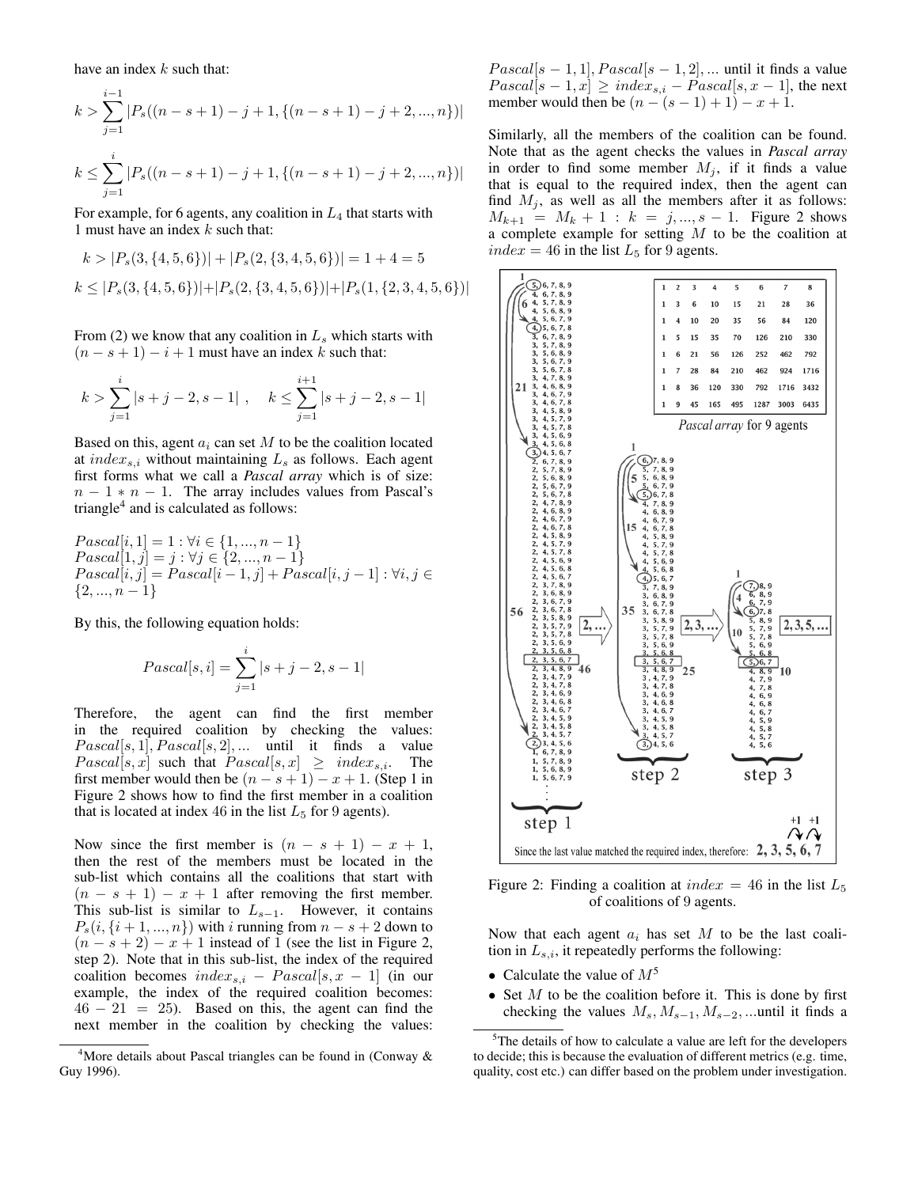have an index  $k$  such that:

$$
k > \sum_{j=1}^{i-1} |P_s((n-s+1)-j+1, \{(n-s+1)-j+2, ..., n\})|
$$
  

$$
k \le \sum_{j=1}^{i} |P_s((n-s+1)-j+1, \{(n-s+1)-j+2, ..., n\})|
$$

For example, for 6 agents, any coalition in  $L_4$  that starts with 1 must have an index  $k$  such that:

$$
k > |P_s(3, \{4, 5, 6\})| + |P_s(2, \{3, 4, 5, 6\})| = 1 + 4 = 5
$$
  

$$
k \le |P_s(3, \{4, 5, 6\})| + |P_s(2, \{3, 4, 5, 6\})| + |P_s(1, \{2, 3, 4, 5, 6\})|
$$

From (2) we know that any coalition in  $L<sub>s</sub>$  which starts with  $(n - s + 1) - i + 1$  must have an index k such that:

$$
k > \sum_{j=1}^{i} |s+j-2, s-1| , \quad k \leq \sum_{j=1}^{i+1} |s+j-2, s-1|
$$

Based on this, agent  $a_i$  can set  $M$  to be the coalition located at  $index_{s,i}$  without maintaining  $L_s$  as follows. Each agent first forms what we call a *Pascal array* which is of size:  $n - 1 * n - 1$ . The array includes values from Pascal's triangle<sup>4</sup> and is calculated as follows:

$$
Pascal[i, 1] = 1 : \forall i \in \{1, ..., n - 1\}
$$
  
\n
$$
Pascal[1, j] = j : \forall j \in \{2, ..., n - 1\}
$$
  
\n
$$
Pascal[i, j] = Pascal[i - 1, j] + Pascal[i, j - 1] : \forall i, j \in \{2, ..., n - 1\}
$$

By this, the following equation holds:

$$
Pascal[s, i] = \sum_{j=1}^{i} |s + j - 2, s - 1|
$$

Therefore, the agent can find the first member in the required coalition by checking the values:  $Pascal[s, 1], Pascal[s, 2], \ldots$  until it finds a value  $Pascal[s, x]$  such that  $Pascal[s, x] \geq index_{s,i}$ . The first member would then be  $(n - s + 1) - x + 1$ . (Step 1 in Figure 2 shows how to find the first member in a coalition that is located at index 46 in the list  $L_5$  for 9 agents).

Now since the first member is  $(n - s + 1) - x + 1$ , then the rest of the members must be located in the sub-list which contains all the coalitions that start with  $(n - s + 1) - x + 1$  after removing the first member. This sub-list is similar to  $L_{s-1}$ . However, it contains  $P_s(i, \{i+1, ..., n\})$  with i running from  $n - s + 2$  down to  $(n - s + 2) - x + 1$  instead of 1 (see the list in Figure 2, step 2). Note that in this sub-list, the index of the required coalition becomes  $index_{s,i}$  –  $Pascal[s, x - 1]$  (in our example, the index of the required coalition becomes:  $46 - 21 = 25$ . Based on this, the agent can find the next member in the coalition by checking the values:

 $Pascal[s - 1, 1], Pascal[s - 1, 2], \dots$  until it finds a value  $Pascal[s - 1, x] \geq index_{s,i} - Pascal[s, x - 1]$ , the next member would then be  $(n - (s - 1) + 1) - x + 1$ .

Similarly, all the members of the coalition can be found. Note that as the agent checks the values in *Pascal array* in order to find some member  $M_i$ , if it finds a value that is equal to the required index, then the agent can find  $M_i$ , as well as all the members after it as follows:  $M_{k+1} = M_k + 1$ :  $k = j, ..., s - 1$ . Figure 2 shows a complete example for setting  $M$  to be the coalition at  $index = 46$  in the list  $L_5$  for 9 agents.



Figure 2: Finding a coalition at  $index = 46$  in the list  $L_5$ of coalitions of 9 agents.

Now that each agent  $a_i$  has set  $M$  to be the last coalition in  $L_{s,i}$ , it repeatedly performs the following:

- Calculate the value of  $M^5$
- Set  $M$  to be the coalition before it. This is done by first checking the values  $M_s$ ,  $M_{s-1}$ ,  $M_{s-2}$ , ...until it finds a

<sup>&</sup>lt;sup>4</sup>More details about Pascal triangles can be found in (Conway  $\&$ Guy 1996).

 $5$ The details of how to calculate a value are left for the developers to decide; this is because the evaluation of different metrics (e.g. time, quality, cost etc.) can differ based on the problem under investigation.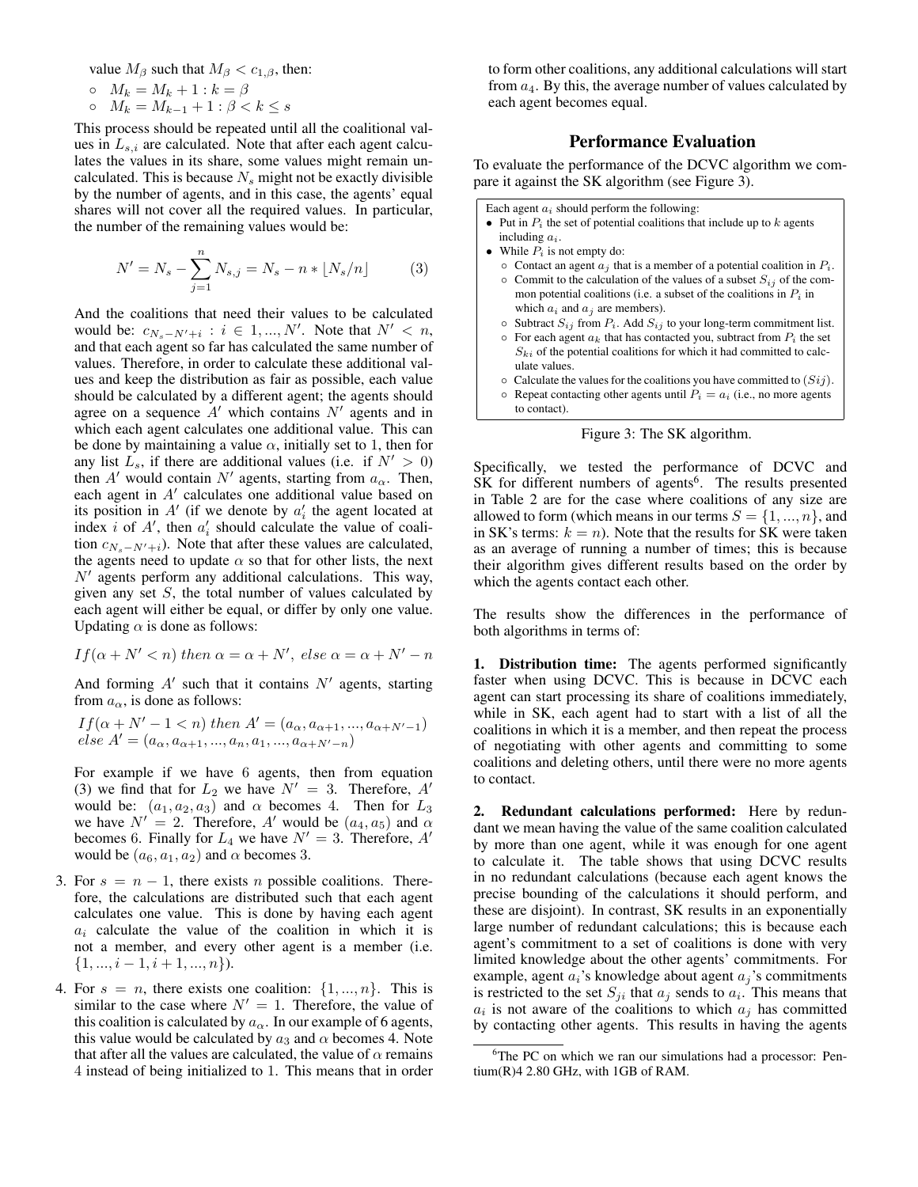value  $M_\beta$  such that  $M_\beta < c_{1,\beta}$ , then:

$$
\circ \quad M_k = M_k + 1 : k = \beta
$$

ο  $M_k = M_{k-1} + 1$ : β <  $k ≤ s$ 

This process should be repeated until all the coalitional values in  $L_{s,i}$  are calculated. Note that after each agent calculates the values in its share, some values might remain uncalculated. This is because  $N_s$  might not be exactly divisible by the number of agents, and in this case, the agents' equal shares will not cover all the required values. In particular, the number of the remaining values would be:

$$
N' = N_s - \sum_{j=1}^{n} N_{s,j} = N_s - n * \lfloor N_s/n \rfloor \tag{3}
$$

And the coalitions that need their values to be calculated would be:  $c_{N_s - N' + i}$ :  $i \in 1, ..., N'$ . Note that  $N' < n$ , and that each agent so far has calculated the same number of values. Therefore, in order to calculate these additional values and keep the distribution as fair as possible, each value should be calculated by a different agent; the agents should agree on a sequence  $A'$  which contains  $N'$  agents and in which each agent calculates one additional value. This can be done by maintaining a value  $\alpha$ , initially set to 1, then for any list  $L_s$ , if there are additional values (i.e. if  $N' > 0$ ) then  $A'$  would contain  $N'$  agents, starting from  $a_{\alpha}$ . Then, each agent in  $A'$  calculates one additional value based on its position in  $A'$  (if we denote by  $a'_i$  the agent located at index *i* of  $A'$ , then  $a'_i$  should calculate the value of coalition  $c_{N_s-N'+i}$ ). Note that after these values are calculated, the agents need to update  $\alpha$  so that for other lists, the next  $N'$  agents perform any additional calculations. This way, given any set  $S$ , the total number of values calculated by each agent will either be equal, or differ by only one value. Updating  $\alpha$  is done as follows:

$$
If (\alpha + N' < n) then \alpha = \alpha + N', \text{ else } \alpha = \alpha + N' - n
$$

And forming  $A'$  such that it contains  $N'$  agents, starting from  $a_{\alpha}$ , is done as follows:

$$
If (\alpha + N' - 1 < n) then A' = (a_{\alpha}, a_{\alpha+1}, ..., a_{\alpha+N'-1})
$$
\n
$$
else A' = (a_{\alpha}, a_{\alpha+1}, ..., a_n, a_1, ..., a_{\alpha+N'-n})
$$

For example if we have 6 agents, then from equation (3) we find that for  $L_2$  we have  $N' = 3$ . Therefore, A' would be:  $(a_1, a_2, a_3)$  and  $\alpha$  becomes 4. Then for  $L_3$ we have  $N' = 2$ . Therefore, A' would be  $(a_4, a_5)$  and  $\alpha$ becomes 6. Finally for  $L_4$  we have  $N' = 3$ . Therefore, A' would be  $(a_6, a_1, a_2)$  and  $\alpha$  becomes 3.

- 3. For  $s = n 1$ , there exists *n* possible coalitions. Therefore, the calculations are distributed such that each agent calculates one value. This is done by having each agent  $a_i$  calculate the value of the coalition in which it is not a member, and every other agent is a member (i.e.  $\{1, ..., i-1, i+1, ..., n\}.$
- 4. For  $s = n$ , there exists one coalition:  $\{1, ..., n\}$ . This is similar to the case where  $N' = 1$ . Therefore, the value of this coalition is calculated by  $a_{\alpha}$ . In our example of 6 agents, this value would be calculated by  $a_3$  and  $\alpha$  becomes 4. Note that after all the values are calculated, the value of  $\alpha$  remains 4 instead of being initialized to 1. This means that in order

to form other coalitions, any additional calculations will start from  $a_4$ . By this, the average number of values calculated by each agent becomes equal.

### Performance Evaluation

To evaluate the performance of the DCVC algorithm we compare it against the SK algorithm (see Figure 3).

Each agent  $a_i$  should perform the following:

- Put in  $P_i$  the set of potential coalitions that include up to  $k$  agents including  $a_i$ .
- While  $P_i$  is not empty do:
	- $\circ$  Contact an agent  $a_j$  that is a member of a potential coalition in  $P_i$ .  $\circ$  Commit to the calculation of the values of a subset  $S_{ij}$  of the common potential coalitions (i.e. a subset of the coalitions in  $P_i$  in which  $a_i$  and  $a_j$  are members).
	- $\circ$  Subtract  $S_{ij}$  from  $P_i$ . Add  $S_{ij}$  to your long-term commitment list.
	- $\circ$  For each agent  $a_k$  that has contacted you, subtract from  $P_i$  the set  $S_{ki}$  of the potential coalitions for which it had committed to calculate values.
	- $\circ$  Calculate the values for the coalitions you have committed to  $(Sij)$ .
	- $\circ$  Repeat contacting other agents until  $P_i = a_i$  (i.e., no more agents to contact).



Specifically, we tested the performance of DCVC and SK for different numbers of agents<sup>6</sup>. The results presented in Table 2 are for the case where coalitions of any size are allowed to form (which means in our terms  $S = \{1, ..., n\}$ , and in SK's terms:  $k = n$ ). Note that the results for SK were taken as an average of running a number of times; this is because their algorithm gives different results based on the order by which the agents contact each other.

The results show the differences in the performance of both algorithms in terms of:

1. Distribution time: The agents performed significantly faster when using DCVC. This is because in DCVC each agent can start processing its share of coalitions immediately, while in SK, each agent had to start with a list of all the coalitions in which it is a member, and then repeat the process of negotiating with other agents and committing to some coalitions and deleting others, until there were no more agents to contact.

2. Redundant calculations performed: Here by redundant we mean having the value of the same coalition calculated by more than one agent, while it was enough for one agent to calculate it. The table shows that using DCVC results in no redundant calculations (because each agent knows the precise bounding of the calculations it should perform, and these are disjoint). In contrast, SK results in an exponentially large number of redundant calculations; this is because each agent's commitment to a set of coalitions is done with very limited knowledge about the other agents' commitments. For example, agent  $a_i$ 's knowledge about agent  $a_j$ 's commitments is restricted to the set  $S_{ji}$  that  $a_j$  sends to  $a_i$ . This means that  $a_i$  is not aware of the coalitions to which  $a_j$  has committed by contacting other agents. This results in having the agents

<sup>&</sup>lt;sup>6</sup>The PC on which we ran our simulations had a processor: Pentium(R)4 2.80 GHz, with 1GB of RAM.